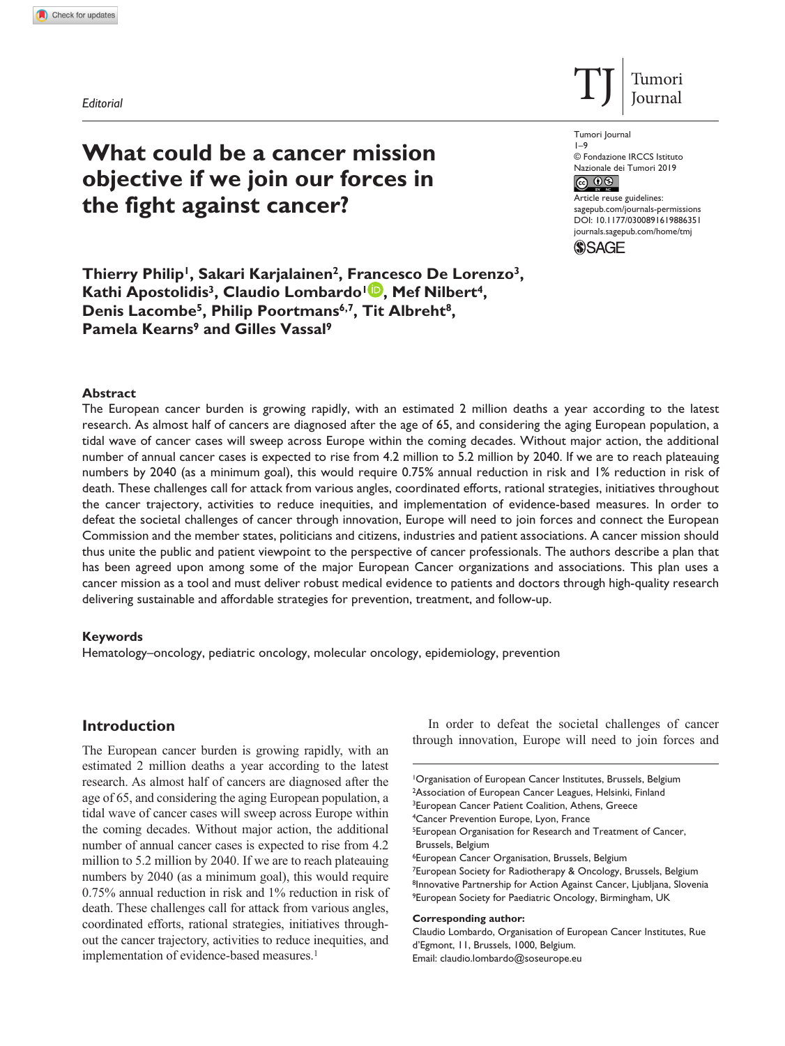*Editorial* 



Tumori Journal 1–9

© Fondazione IRCCS Istituto Nazionale dei Tumori 2019



DOI: 10.1177/0300891619886351 Article reuse guidelines: [sagepub.com/journals-permissions](https://uk.sagepub.com/en-gb/journals-permissions) [journals.sagepub.com/home/tmj](https://journals.sagepub.com/home/tmj)



Thierry Philip<sup>1</sup>, Sakari Karjalainen<sup>2</sup>, Francesco De Lorenzo<sup>3</sup>, **Kathi Apostolidis3, Claudio Lombardo1 , Mef Nilbert4,**  Denis Lacombe<sup>5</sup>, Philip Poortmans<sup>6,7</sup>, Tit Albreht<sup>8</sup>, **Pamela Kearns9 and Gilles Vassal9**

**What could be a cancer mission** 

**objective if we join our forces in** 

**the fight against cancer?**

#### **Abstract**

The European cancer burden is growing rapidly, with an estimated 2 million deaths a year according to the latest research. As almost half of cancers are diagnosed after the age of 65, and considering the aging European population, a tidal wave of cancer cases will sweep across Europe within the coming decades. Without major action, the additional number of annual cancer cases is expected to rise from 4.2 million to 5.2 million by 2040. If we are to reach plateauing numbers by 2040 (as a minimum goal), this would require 0.75% annual reduction in risk and 1% reduction in risk of death. These challenges call for attack from various angles, coordinated efforts, rational strategies, initiatives throughout the cancer trajectory, activities to reduce inequities, and implementation of evidence-based measures. In order to defeat the societal challenges of cancer through innovation, Europe will need to join forces and connect the European Commission and the member states, politicians and citizens, industries and patient associations. A cancer mission should thus unite the public and patient viewpoint to the perspective of cancer professionals. The authors describe a plan that has been agreed upon among some of the major European Cancer organizations and associations. This plan uses a cancer mission as a tool and must deliver robust medical evidence to patients and doctors through high-quality research delivering sustainable and affordable strategies for prevention, treatment, and follow-up.

#### **Keywords**

Hematology–oncology, pediatric oncology, molecular oncology, epidemiology, prevention

### **Introduction**

The European cancer burden is growing rapidly, with an estimated 2 million deaths a year according to the latest research. As almost half of cancers are diagnosed after the age of 65, and considering the aging European population, a tidal wave of cancer cases will sweep across Europe within the coming decades. Without major action, the additional number of annual cancer cases is expected to rise from 4.2 million to 5.2 million by 2040. If we are to reach plateauing numbers by 2040 (as a minimum goal), this would require 0.75% annual reduction in risk and 1% reduction in risk of death. These challenges call for attack from various angles, coordinated efforts, rational strategies, initiatives throughout the cancer trajectory, activities to reduce inequities, and implementation of evidence-based measures.<sup>1</sup>

In order to defeat the societal challenges of cancer through innovation, Europe will need to join forces and

<sup>1</sup>Organisation of European Cancer Institutes, Brussels, Belgium 2Association of European Cancer Leagues, Helsinki, Finland <sup>3</sup>European Cancer Patient Coalition, Athens, Greece 4Cancer Prevention Europe, Lyon, France 5European Organisation for Research and Treatment of Cancer, Brussels, Belgium 6European Cancer Organisation, Brussels, Belgium 7European Society for Radiotherapy & Oncology, Brussels, Belgium 8Innovative Partnership for Action Against Cancer, Ljubljana, Slovenia 9European Society for Paediatric Oncology, Birmingham, UK **Corresponding author:**

Claudio Lombardo, Organisation of European Cancer Institutes, Rue d'Egmont, 11, Brussels, 1000, Belgium. Email: [claudio.lombardo@soseurope.eu](mailto:claudio.lombardo@soseurope.eu)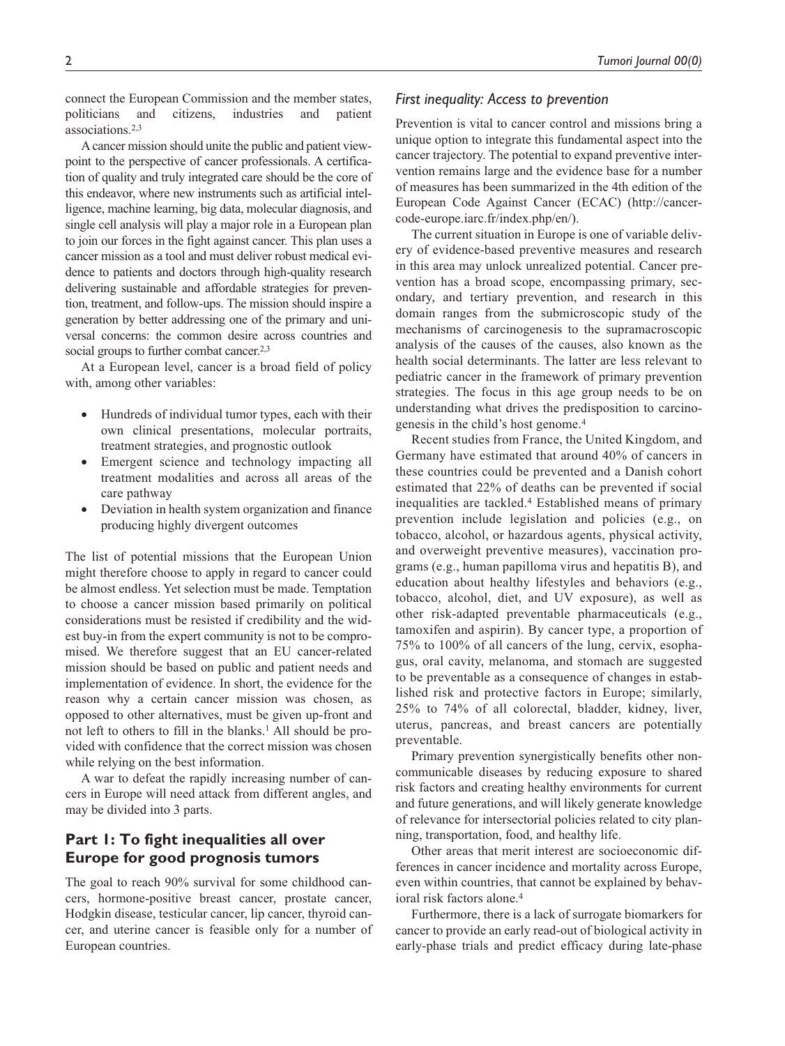connect the European Commission and the member states, politicians and citizens, industries and patient associations.2,3

A cancer mission should unite the public and patient viewpoint to the perspective of cancer professionals. A certification of quality and truly integrated care should be the core of this endeavor, where new instruments such as artificial intelligence, machine learning, big data, molecular diagnosis, and single cell analysis will play a major role in a European plan to join our forces in the fight against cancer. This plan uses a cancer mission as a tool and must deliver robust medical evidence to patients and doctors through high-quality research delivering sustainable and affordable strategies for prevention, treatment, and follow-ups. The mission should inspire a generation by better addressing one of the primary and universal concerns: the common desire across countries and social groups to further combat cancer.<sup>2,3</sup>

At a European level, cancer is a broad field of policy with, among other variables:

- Hundreds of individual tumor types, each with their own clinical presentations, molecular portraits, treatment strategies, and prognostic outlook
- Emergent science and technology impacting all treatment modalities and across all areas of the care pathway
- Deviation in health system organization and finance producing highly divergent outcomes

The list of potential missions that the European Union might therefore choose to apply in regard to cancer could be almost endless. Yet selection must be made. Temptation to choose a cancer mission based primarily on political considerations must be resisted if credibility and the widest buy-in from the expert community is not to be compromised. We therefore suggest that an EU cancer-related mission should be based on public and patient needs and implementation of evidence. In short, the evidence for the reason why a certain cancer mission was chosen, as opposed to other alternatives, must be given up-front and not left to others to fill in the blanks.<sup>1</sup> All should be provided with confidence that the correct mission was chosen while relying on the best information.

A war to defeat the rapidly increasing number of cancers in Europe will need attack from different angles, and may be divided into 3 parts.

## **Part 1: To fight inequalities all over Europe for good prognosis tumors**

The goal to reach 90% survival for some childhood cancers, hormone-positive breast cancer, prostate cancer, Hodgkin disease, testicular cancer, lip cancer, thyroid cancer, and uterine cancer is feasible only for a number of European countries.

### *First inequality: Access to prevention*

Prevention is vital to cancer control and missions bring a unique option to integrate this fundamental aspect into the cancer trajectory. The potential to expand preventive intervention remains large and the evidence base for a number of measures has been summarized in the 4th edition of the European Code Against Cancer (ECAC) (http://cancercode-europe.iarc.fr/index.php/en/).

The current situation in Europe is one of variable delivery of evidence-based preventive measures and research in this area may unlock unrealized potential. Cancer prevention has a broad scope, encompassing primary, secondary, and tertiary prevention, and research in this domain ranges from the submicroscopic study of the mechanisms of carcinogenesis to the supramacroscopic analysis of the causes of the causes, also known as the health social determinants. The latter are less relevant to pediatric cancer in the framework of primary prevention strategies. The focus in this age group needs to be on understanding what drives the predisposition to carcinogenesis in the child's host genome.4

Recent studies from France, the United Kingdom, and Germany have estimated that around 40% of cancers in these countries could be prevented and a Danish cohort estimated that 22% of deaths can be prevented if social inequalities are tackled.4 Established means of primary prevention include legislation and policies (e.g., on tobacco, alcohol, or hazardous agents, physical activity, and overweight preventive measures), vaccination programs (e.g., human papilloma virus and hepatitis B), and education about healthy lifestyles and behaviors (e.g., tobacco, alcohol, diet, and UV exposure), as well as other risk-adapted preventable pharmaceuticals (e.g., tamoxifen and aspirin). By cancer type, a proportion of 75% to 100% of all cancers of the lung, cervix, esophagus, oral cavity, melanoma, and stomach are suggested to be preventable as a consequence of changes in established risk and protective factors in Europe; similarly, 25% to 74% of all colorectal, bladder, kidney, liver, uterus, pancreas, and breast cancers are potentially preventable.

Primary prevention synergistically benefits other noncommunicable diseases by reducing exposure to shared risk factors and creating healthy environments for current and future generations, and will likely generate knowledge of relevance for intersectorial policies related to city planning, transportation, food, and healthy life.

Other areas that merit interest are socioeconomic differences in cancer incidence and mortality across Europe, even within countries, that cannot be explained by behavioral risk factors alone.4

Furthermore, there is a lack of surrogate biomarkers for cancer to provide an early read-out of biological activity in early-phase trials and predict efficacy during late-phase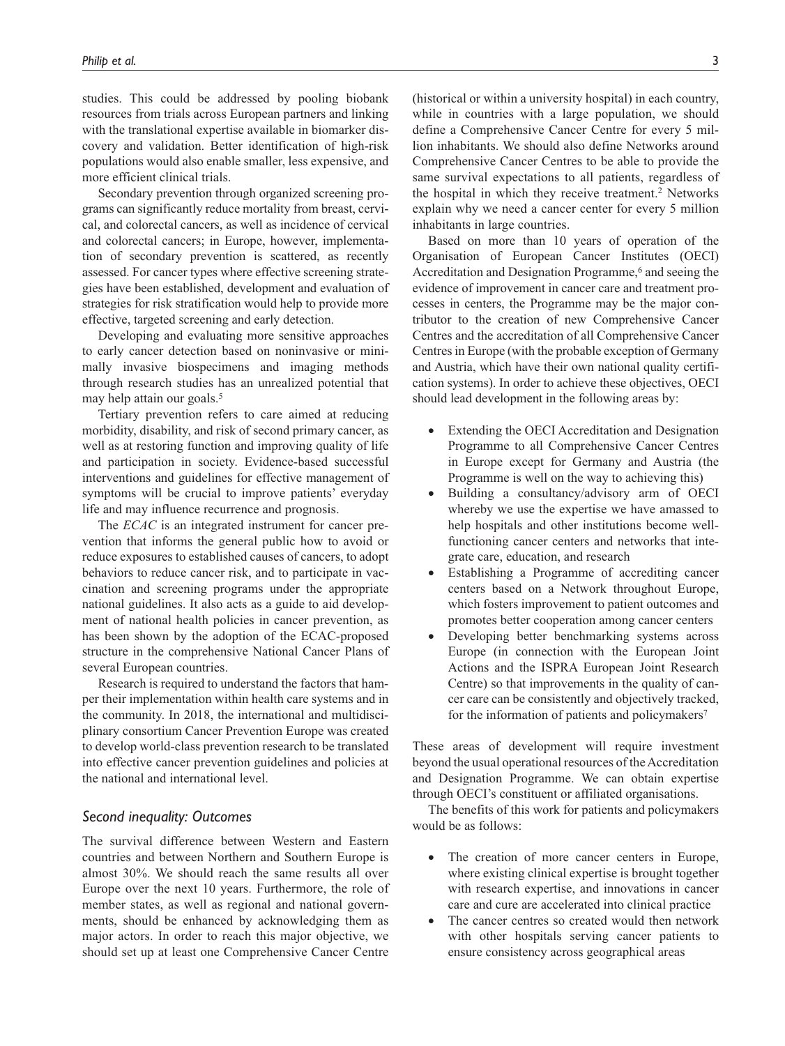studies. This could be addressed by pooling biobank resources from trials across European partners and linking with the translational expertise available in biomarker discovery and validation. Better identification of high-risk populations would also enable smaller, less expensive, and more efficient clinical trials.

Secondary prevention through organized screening programs can significantly reduce mortality from breast, cervical, and colorectal cancers, as well as incidence of cervical and colorectal cancers; in Europe, however, implementation of secondary prevention is scattered, as recently assessed. For cancer types where effective screening strategies have been established, development and evaluation of strategies for risk stratification would help to provide more effective, targeted screening and early detection.

Developing and evaluating more sensitive approaches to early cancer detection based on noninvasive or minimally invasive biospecimens and imaging methods through research studies has an unrealized potential that may help attain our goals.<sup>5</sup>

Tertiary prevention refers to care aimed at reducing morbidity, disability, and risk of second primary cancer, as well as at restoring function and improving quality of life and participation in society. Evidence-based successful interventions and guidelines for effective management of symptoms will be crucial to improve patients' everyday life and may influence recurrence and prognosis.

The *ECAC* is an integrated instrument for cancer prevention that informs the general public how to avoid or reduce exposures to established causes of cancers, to adopt behaviors to reduce cancer risk, and to participate in vaccination and screening programs under the appropriate national guidelines. It also acts as a guide to aid development of national health policies in cancer prevention, as has been shown by the adoption of the ECAC-proposed structure in the comprehensive National Cancer Plans of several European countries.

Research is required to understand the factors that hamper their implementation within health care systems and in the community. In 2018, the international and multidisciplinary consortium Cancer Prevention Europe was created to develop world-class prevention research to be translated into effective cancer prevention guidelines and policies at the national and international level.

### *Second inequality: Outcomes*

The survival difference between Western and Eastern countries and between Northern and Southern Europe is almost 30%. We should reach the same results all over Europe over the next 10 years. Furthermore, the role of member states, as well as regional and national governments, should be enhanced by acknowledging them as major actors. In order to reach this major objective, we should set up at least one Comprehensive Cancer Centre

(historical or within a university hospital) in each country, while in countries with a large population, we should define a Comprehensive Cancer Centre for every 5 million inhabitants. We should also define Networks around Comprehensive Cancer Centres to be able to provide the same survival expectations to all patients, regardless of the hospital in which they receive treatment.2 Networks explain why we need a cancer center for every 5 million inhabitants in large countries.

Based on more than 10 years of operation of the Organisation of European Cancer Institutes (OECI) Accreditation and Designation Programme,<sup>6</sup> and seeing the evidence of improvement in cancer care and treatment processes in centers, the Programme may be the major contributor to the creation of new Comprehensive Cancer Centres and the accreditation of all Comprehensive Cancer Centres in Europe (with the probable exception of Germany and Austria, which have their own national quality certification systems). In order to achieve these objectives, OECI should lead development in the following areas by:

- Extending the OECI Accreditation and Designation Programme to all Comprehensive Cancer Centres in Europe except for Germany and Austria (the Programme is well on the way to achieving this)
- Building a consultancy/advisory arm of OECI whereby we use the expertise we have amassed to help hospitals and other institutions become wellfunctioning cancer centers and networks that integrate care, education, and research
- Establishing a Programme of accrediting cancer centers based on a Network throughout Europe, which fosters improvement to patient outcomes and promotes better cooperation among cancer centers
- Developing better benchmarking systems across Europe (in connection with the European Joint Actions and the ISPRA European Joint Research Centre) so that improvements in the quality of cancer care can be consistently and objectively tracked, for the information of patients and policymakers<sup>7</sup>

These areas of development will require investment beyond the usual operational resources of the Accreditation and Designation Programme. We can obtain expertise through OECI's constituent or affiliated organisations.

The benefits of this work for patients and policymakers would be as follows:

- The creation of more cancer centers in Europe, where existing clinical expertise is brought together with research expertise, and innovations in cancer care and cure are accelerated into clinical practice
- The cancer centres so created would then network with other hospitals serving cancer patients to ensure consistency across geographical areas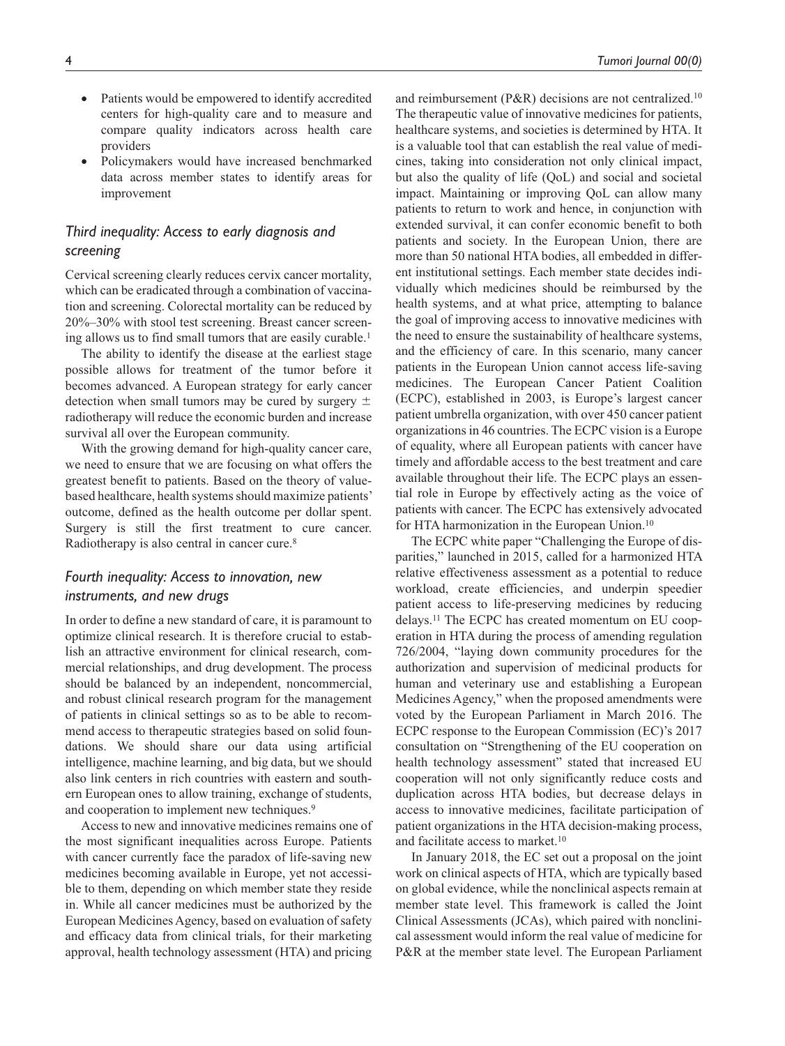- Patients would be empowered to identify accredited centers for high-quality care and to measure and compare quality indicators across health care providers
- Policymakers would have increased benchmarked data across member states to identify areas for improvement

## *Third inequality: Access to early diagnosis and screening*

Cervical screening clearly reduces cervix cancer mortality, which can be eradicated through a combination of vaccination and screening. Colorectal mortality can be reduced by 20%–30% with stool test screening. Breast cancer screening allows us to find small tumors that are easily curable.<sup>1</sup>

The ability to identify the disease at the earliest stage possible allows for treatment of the tumor before it becomes advanced. A European strategy for early cancer detection when small tumors may be cured by surgery  $\pm$ radiotherapy will reduce the economic burden and increase survival all over the European community.

With the growing demand for high-quality cancer care, we need to ensure that we are focusing on what offers the greatest benefit to patients. Based on the theory of valuebased healthcare, health systems should maximize patients' outcome, defined as the health outcome per dollar spent. Surgery is still the first treatment to cure cancer. Radiotherapy is also central in cancer cure.<sup>8</sup>

### *Fourth inequality: Access to innovation, new instruments, and new drugs*

In order to define a new standard of care, it is paramount to optimize clinical research. It is therefore crucial to establish an attractive environment for clinical research, commercial relationships, and drug development. The process should be balanced by an independent, noncommercial, and robust clinical research program for the management of patients in clinical settings so as to be able to recommend access to therapeutic strategies based on solid foundations. We should share our data using artificial intelligence, machine learning, and big data, but we should also link centers in rich countries with eastern and southern European ones to allow training, exchange of students, and cooperation to implement new techniques.<sup>9</sup>

Access to new and innovative medicines remains one of the most significant inequalities across Europe. Patients with cancer currently face the paradox of life-saving new medicines becoming available in Europe, yet not accessible to them, depending on which member state they reside in. While all cancer medicines must be authorized by the European Medicines Agency, based on evaluation of safety and efficacy data from clinical trials, for their marketing approval, health technology assessment (HTA) and pricing

and reimbursement (P&R) decisions are not centralized.10 The therapeutic value of innovative medicines for patients, healthcare systems, and societies is determined by HTA. It is a valuable tool that can establish the real value of medicines, taking into consideration not only clinical impact, but also the quality of life (QoL) and social and societal impact. Maintaining or improving QoL can allow many patients to return to work and hence, in conjunction with extended survival, it can confer economic benefit to both patients and society. In the European Union, there are more than 50 national HTA bodies, all embedded in different institutional settings. Each member state decides individually which medicines should be reimbursed by the health systems, and at what price, attempting to balance the goal of improving access to innovative medicines with the need to ensure the sustainability of healthcare systems, and the efficiency of care. In this scenario, many cancer patients in the European Union cannot access life-saving medicines. The European Cancer Patient Coalition (ECPC), established in 2003, is Europe's largest cancer patient umbrella organization, with over 450 cancer patient organizations in 46 countries. The ECPC vision is a Europe of equality, where all European patients with cancer have timely and affordable access to the best treatment and care available throughout their life. The ECPC plays an essential role in Europe by effectively acting as the voice of patients with cancer. The ECPC has extensively advocated for HTA harmonization in the European Union.10

The ECPC white paper "Challenging the Europe of disparities," launched in 2015, called for a harmonized HTA relative effectiveness assessment as a potential to reduce workload, create efficiencies, and underpin speedier patient access to life-preserving medicines by reducing delays.11 The ECPC has created momentum on EU cooperation in HTA during the process of amending regulation 726/2004, "laying down community procedures for the authorization and supervision of medicinal products for human and veterinary use and establishing a European Medicines Agency," when the proposed amendments were voted by the European Parliament in March 2016. The ECPC response to the European Commission (EC)'s 2017 consultation on "Strengthening of the EU cooperation on health technology assessment" stated that increased EU cooperation will not only significantly reduce costs and duplication across HTA bodies, but decrease delays in access to innovative medicines, facilitate participation of patient organizations in the HTA decision-making process, and facilitate access to market.<sup>10</sup>

In January 2018, the EC set out a proposal on the joint work on clinical aspects of HTA, which are typically based on global evidence, while the nonclinical aspects remain at member state level. This framework is called the Joint Clinical Assessments (JCAs), which paired with nonclinical assessment would inform the real value of medicine for P&R at the member state level. The European Parliament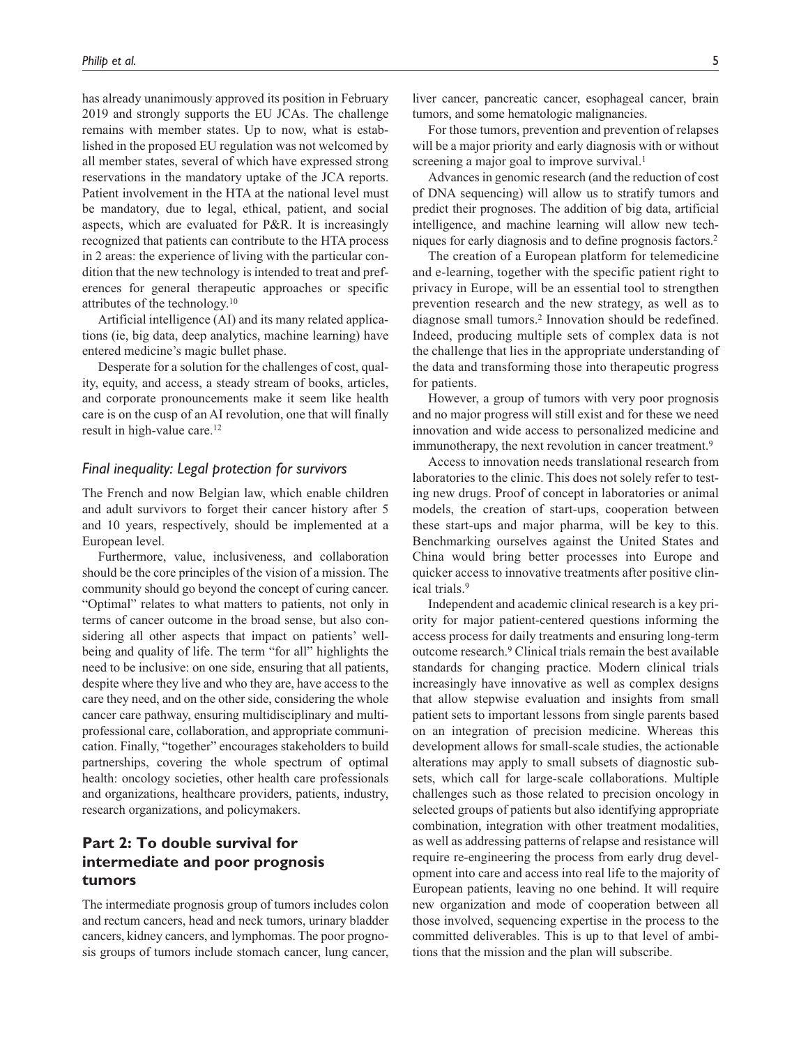has already unanimously approved its position in February 2019 and strongly supports the EU JCAs. The challenge remains with member states. Up to now, what is established in the proposed EU regulation was not welcomed by all member states, several of which have expressed strong reservations in the mandatory uptake of the JCA reports. Patient involvement in the HTA at the national level must be mandatory, due to legal, ethical, patient, and social aspects, which are evaluated for P&R. It is increasingly recognized that patients can contribute to the HTA process in 2 areas: the experience of living with the particular condition that the new technology is intended to treat and preferences for general therapeutic approaches or specific attributes of the technology.10

Artificial intelligence (AI) and its many related applications (ie, big data, deep analytics, machine learning) have entered medicine's magic bullet phase.

Desperate for a solution for the challenges of cost, quality, equity, and access, a steady stream of books, articles, and corporate pronouncements make it seem like health care is on the cusp of an AI revolution, one that will finally result in high-value care.12

### *Final inequality: Legal protection for survivors*

The French and now Belgian law, which enable children and adult survivors to forget their cancer history after 5 and 10 years, respectively, should be implemented at a European level.

Furthermore, value, inclusiveness, and collaboration should be the core principles of the vision of a mission. The community should go beyond the concept of curing cancer. "Optimal" relates to what matters to patients, not only in terms of cancer outcome in the broad sense, but also considering all other aspects that impact on patients' wellbeing and quality of life. The term "for all" highlights the need to be inclusive: on one side, ensuring that all patients, despite where they live and who they are, have access to the care they need, and on the other side, considering the whole cancer care pathway, ensuring multidisciplinary and multiprofessional care, collaboration, and appropriate communication. Finally, "together" encourages stakeholders to build partnerships, covering the whole spectrum of optimal health: oncology societies, other health care professionals and organizations, healthcare providers, patients, industry, research organizations, and policymakers.

# **Part 2: To double survival for intermediate and poor prognosis tumors**

The intermediate prognosis group of tumors includes colon and rectum cancers, head and neck tumors, urinary bladder cancers, kidney cancers, and lymphomas. The poor prognosis groups of tumors include stomach cancer, lung cancer,

liver cancer, pancreatic cancer, esophageal cancer, brain tumors, and some hematologic malignancies.

For those tumors, prevention and prevention of relapses will be a major priority and early diagnosis with or without screening a major goal to improve survival.<sup>1</sup>

Advances in genomic research (and the reduction of cost of DNA sequencing) will allow us to stratify tumors and predict their prognoses. The addition of big data, artificial intelligence, and machine learning will allow new techniques for early diagnosis and to define prognosis factors.2

The creation of a European platform for telemedicine and e-learning, together with the specific patient right to privacy in Europe, will be an essential tool to strengthen prevention research and the new strategy, as well as to diagnose small tumors.2 Innovation should be redefined. Indeed, producing multiple sets of complex data is not the challenge that lies in the appropriate understanding of the data and transforming those into therapeutic progress for patients.

However, a group of tumors with very poor prognosis and no major progress will still exist and for these we need innovation and wide access to personalized medicine and immunotherapy, the next revolution in cancer treatment.<sup>9</sup>

Access to innovation needs translational research from laboratories to the clinic. This does not solely refer to testing new drugs. Proof of concept in laboratories or animal models, the creation of start-ups, cooperation between these start-ups and major pharma, will be key to this. Benchmarking ourselves against the United States and China would bring better processes into Europe and quicker access to innovative treatments after positive clinical trials.9

Independent and academic clinical research is a key priority for major patient-centered questions informing the access process for daily treatments and ensuring long-term outcome research.9 Clinical trials remain the best available standards for changing practice. Modern clinical trials increasingly have innovative as well as complex designs that allow stepwise evaluation and insights from small patient sets to important lessons from single parents based on an integration of precision medicine. Whereas this development allows for small-scale studies, the actionable alterations may apply to small subsets of diagnostic subsets, which call for large-scale collaborations. Multiple challenges such as those related to precision oncology in selected groups of patients but also identifying appropriate combination, integration with other treatment modalities, as well as addressing patterns of relapse and resistance will require re-engineering the process from early drug development into care and access into real life to the majority of European patients, leaving no one behind. It will require new organization and mode of cooperation between all those involved, sequencing expertise in the process to the committed deliverables. This is up to that level of ambitions that the mission and the plan will subscribe.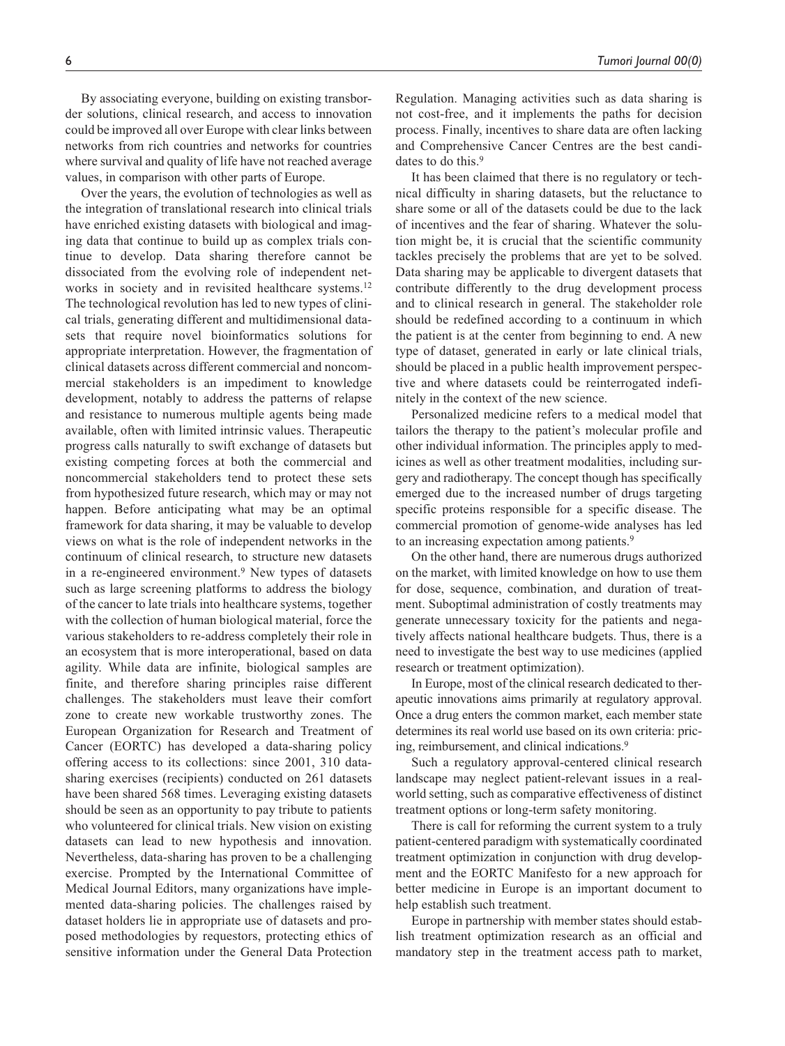By associating everyone, building on existing transborder solutions, clinical research, and access to innovation could be improved all over Europe with clear links between networks from rich countries and networks for countries where survival and quality of life have not reached average values, in comparison with other parts of Europe.

Over the years, the evolution of technologies as well as the integration of translational research into clinical trials have enriched existing datasets with biological and imaging data that continue to build up as complex trials continue to develop. Data sharing therefore cannot be dissociated from the evolving role of independent networks in society and in revisited healthcare systems.<sup>12</sup> The technological revolution has led to new types of clinical trials, generating different and multidimensional datasets that require novel bioinformatics solutions for appropriate interpretation. However, the fragmentation of clinical datasets across different commercial and noncommercial stakeholders is an impediment to knowledge development, notably to address the patterns of relapse and resistance to numerous multiple agents being made available, often with limited intrinsic values. Therapeutic progress calls naturally to swift exchange of datasets but existing competing forces at both the commercial and noncommercial stakeholders tend to protect these sets from hypothesized future research, which may or may not happen. Before anticipating what may be an optimal framework for data sharing, it may be valuable to develop views on what is the role of independent networks in the continuum of clinical research, to structure new datasets in a re-engineered environment.<sup>9</sup> New types of datasets such as large screening platforms to address the biology of the cancer to late trials into healthcare systems, together with the collection of human biological material, force the various stakeholders to re-address completely their role in an ecosystem that is more interoperational, based on data agility. While data are infinite, biological samples are finite, and therefore sharing principles raise different challenges. The stakeholders must leave their comfort zone to create new workable trustworthy zones. The European Organization for Research and Treatment of Cancer (EORTC) has developed a data-sharing policy offering access to its collections: since 2001, 310 datasharing exercises (recipients) conducted on 261 datasets have been shared 568 times. Leveraging existing datasets should be seen as an opportunity to pay tribute to patients who volunteered for clinical trials. New vision on existing datasets can lead to new hypothesis and innovation. Nevertheless, data-sharing has proven to be a challenging exercise. Prompted by the International Committee of Medical Journal Editors, many organizations have implemented data-sharing policies. The challenges raised by dataset holders lie in appropriate use of datasets and proposed methodologies by requestors, protecting ethics of sensitive information under the General Data Protection

Regulation. Managing activities such as data sharing is not cost-free, and it implements the paths for decision process. Finally, incentives to share data are often lacking and Comprehensive Cancer Centres are the best candidates to do this.<sup>9</sup>

It has been claimed that there is no regulatory or technical difficulty in sharing datasets, but the reluctance to share some or all of the datasets could be due to the lack of incentives and the fear of sharing. Whatever the solution might be, it is crucial that the scientific community tackles precisely the problems that are yet to be solved. Data sharing may be applicable to divergent datasets that contribute differently to the drug development process and to clinical research in general. The stakeholder role should be redefined according to a continuum in which the patient is at the center from beginning to end. A new type of dataset, generated in early or late clinical trials, should be placed in a public health improvement perspective and where datasets could be reinterrogated indefinitely in the context of the new science.

Personalized medicine refers to a medical model that tailors the therapy to the patient's molecular profile and other individual information. The principles apply to medicines as well as other treatment modalities, including surgery and radiotherapy. The concept though has specifically emerged due to the increased number of drugs targeting specific proteins responsible for a specific disease. The commercial promotion of genome-wide analyses has led to an increasing expectation among patients.<sup>9</sup>

On the other hand, there are numerous drugs authorized on the market, with limited knowledge on how to use them for dose, sequence, combination, and duration of treatment. Suboptimal administration of costly treatments may generate unnecessary toxicity for the patients and negatively affects national healthcare budgets. Thus, there is a need to investigate the best way to use medicines (applied research or treatment optimization).

In Europe, most of the clinical research dedicated to therapeutic innovations aims primarily at regulatory approval. Once a drug enters the common market, each member state determines its real world use based on its own criteria: pricing, reimbursement, and clinical indications.9

Such a regulatory approval-centered clinical research landscape may neglect patient-relevant issues in a realworld setting, such as comparative effectiveness of distinct treatment options or long-term safety monitoring.

There is call for reforming the current system to a truly patient-centered paradigm with systematically coordinated treatment optimization in conjunction with drug development and the EORTC Manifesto for a new approach for better medicine in Europe is an important document to help establish such treatment.

Europe in partnership with member states should establish treatment optimization research as an official and mandatory step in the treatment access path to market,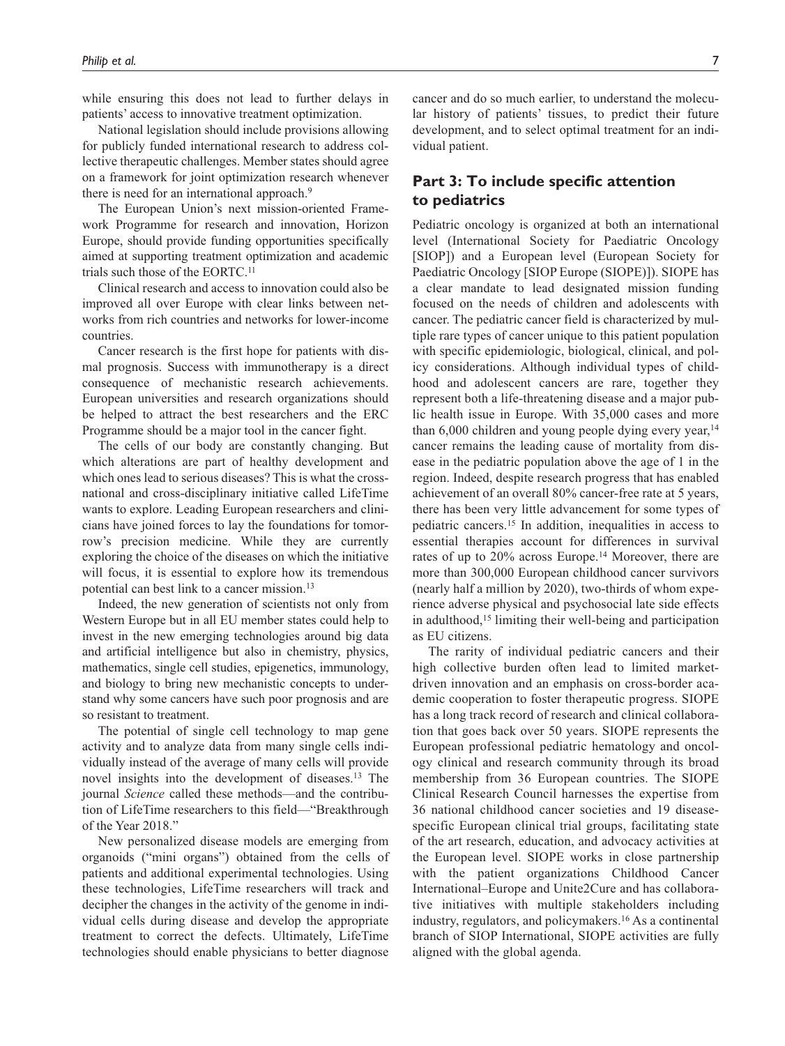while ensuring this does not lead to further delays in patients' access to innovative treatment optimization.

National legislation should include provisions allowing for publicly funded international research to address collective therapeutic challenges. Member states should agree on a framework for joint optimization research whenever there is need for an international approach.9

The European Union's next mission-oriented Framework Programme for research and innovation, Horizon Europe, should provide funding opportunities specifically aimed at supporting treatment optimization and academic trials such those of the EORTC.11

Clinical research and access to innovation could also be improved all over Europe with clear links between networks from rich countries and networks for lower-income countries.

Cancer research is the first hope for patients with dismal prognosis. Success with immunotherapy is a direct consequence of mechanistic research achievements. European universities and research organizations should be helped to attract the best researchers and the ERC Programme should be a major tool in the cancer fight.

The cells of our body are constantly changing. But which alterations are part of healthy development and which ones lead to serious diseases? This is what the crossnational and cross-disciplinary initiative called LifeTime wants to explore. Leading European researchers and clinicians have joined forces to lay the foundations for tomorrow's precision medicine. While they are currently exploring the choice of the diseases on which the initiative will focus, it is essential to explore how its tremendous potential can best link to a cancer mission.13

Indeed, the new generation of scientists not only from Western Europe but in all EU member states could help to invest in the new emerging technologies around big data and artificial intelligence but also in chemistry, physics, mathematics, single cell studies, epigenetics, immunology, and biology to bring new mechanistic concepts to understand why some cancers have such poor prognosis and are so resistant to treatment.

The potential of single cell technology to map gene activity and to analyze data from many single cells individually instead of the average of many cells will provide novel insights into the development of diseases.13 The journal *Science* called these methods—and the contribution of LifeTime researchers to this field—"Breakthrough of the Year 2018."

New personalized disease models are emerging from organoids ("mini organs") obtained from the cells of patients and additional experimental technologies. Using these technologies, LifeTime researchers will track and decipher the changes in the activity of the genome in individual cells during disease and develop the appropriate treatment to correct the defects. Ultimately, LifeTime technologies should enable physicians to better diagnose

cancer and do so much earlier, to understand the molecular history of patients' tissues, to predict their future development, and to select optimal treatment for an individual patient.

# **Part 3: To include specific attention to pediatrics**

Pediatric oncology is organized at both an international level (International Society for Paediatric Oncology [SIOP]) and a European level (European Society for Paediatric Oncology [SIOP Europe (SIOPE)]). SIOPE has a clear mandate to lead designated mission funding focused on the needs of children and adolescents with cancer. The pediatric cancer field is characterized by multiple rare types of cancer unique to this patient population with specific epidemiologic, biological, clinical, and policy considerations. Although individual types of childhood and adolescent cancers are rare, together they represent both a life-threatening disease and a major public health issue in Europe. With 35,000 cases and more than  $6,000$  children and young people dying every year,  $14$ cancer remains the leading cause of mortality from disease in the pediatric population above the age of 1 in the region. Indeed, despite research progress that has enabled achievement of an overall 80% cancer-free rate at 5 years, there has been very little advancement for some types of pediatric cancers.15 In addition, inequalities in access to essential therapies account for differences in survival rates of up to 20% across Europe.14 Moreover, there are more than 300,000 European childhood cancer survivors (nearly half a million by 2020), two-thirds of whom experience adverse physical and psychosocial late side effects in adulthood,15 limiting their well-being and participation as EU citizens.

The rarity of individual pediatric cancers and their high collective burden often lead to limited marketdriven innovation and an emphasis on cross-border academic cooperation to foster therapeutic progress. SIOPE has a long track record of research and clinical collaboration that goes back over 50 years. SIOPE represents the European professional pediatric hematology and oncology clinical and research community through its broad membership from 36 European countries. The SIOPE Clinical Research Council harnesses the expertise from 36 national childhood cancer societies and 19 diseasespecific European clinical trial groups, facilitating state of the art research, education, and advocacy activities at the European level. SIOPE works in close partnership with the patient organizations Childhood Cancer International–Europe and Unite2Cure and has collaborative initiatives with multiple stakeholders including industry, regulators, and policymakers.16 As a continental branch of SIOP International, SIOPE activities are fully aligned with the global agenda.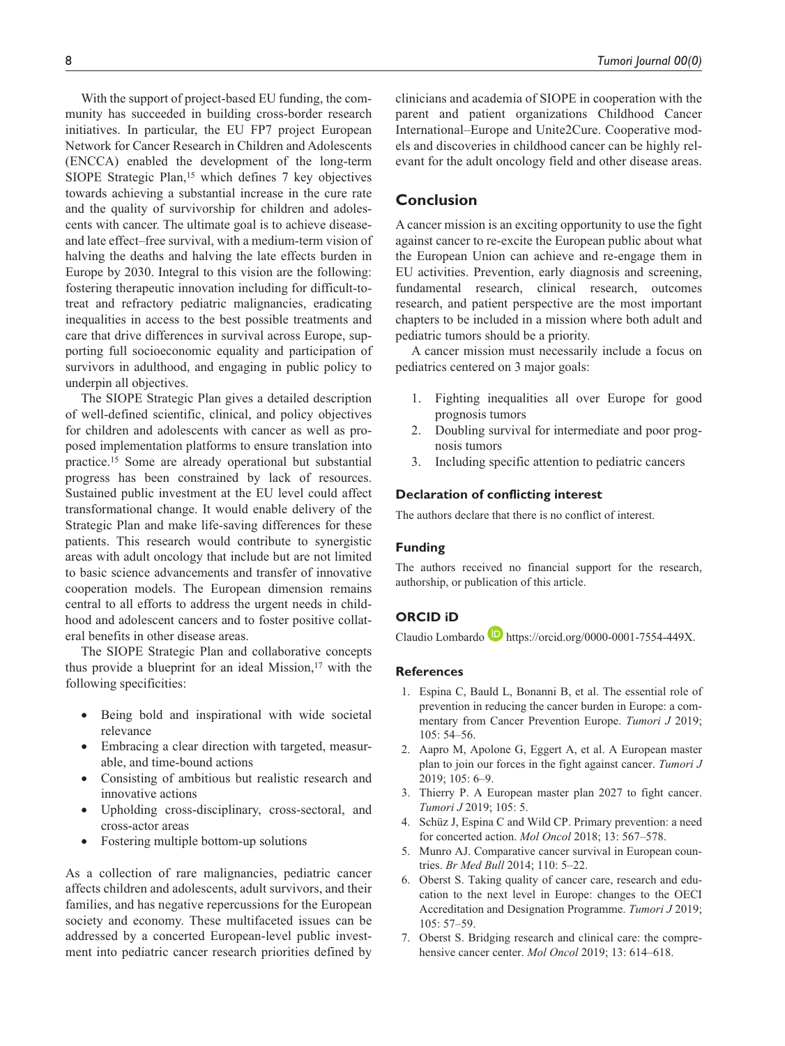With the support of project-based EU funding, the community has succeeded in building cross-border research initiatives. In particular, the EU FP7 project European Network for Cancer Research in Children and Adolescents (ENCCA) enabled the development of the long-term SIOPE Strategic Plan,<sup>15</sup> which defines 7 key objectives towards achieving a substantial increase in the cure rate and the quality of survivorship for children and adolescents with cancer. The ultimate goal is to achieve diseaseand late effect–free survival, with a medium-term vision of halving the deaths and halving the late effects burden in Europe by 2030. Integral to this vision are the following: fostering therapeutic innovation including for difficult-totreat and refractory pediatric malignancies, eradicating inequalities in access to the best possible treatments and care that drive differences in survival across Europe, supporting full socioeconomic equality and participation of survivors in adulthood, and engaging in public policy to underpin all objectives.

The SIOPE Strategic Plan gives a detailed description of well-defined scientific, clinical, and policy objectives for children and adolescents with cancer as well as proposed implementation platforms to ensure translation into practice.15 Some are already operational but substantial progress has been constrained by lack of resources. Sustained public investment at the EU level could affect transformational change. It would enable delivery of the Strategic Plan and make life-saving differences for these patients. This research would contribute to synergistic areas with adult oncology that include but are not limited to basic science advancements and transfer of innovative cooperation models. The European dimension remains central to all efforts to address the urgent needs in childhood and adolescent cancers and to foster positive collateral benefits in other disease areas.

The SIOPE Strategic Plan and collaborative concepts thus provide a blueprint for an ideal Mission,<sup>17</sup> with the following specificities:

- Being bold and inspirational with wide societal relevance
- Embracing a clear direction with targeted, measurable, and time-bound actions
- Consisting of ambitious but realistic research and innovative actions
- Upholding cross-disciplinary, cross-sectoral, and cross-actor areas
- Fostering multiple bottom-up solutions

As a collection of rare malignancies, pediatric cancer affects children and adolescents, adult survivors, and their families, and has negative repercussions for the European society and economy. These multifaceted issues can be addressed by a concerted European-level public investment into pediatric cancer research priorities defined by

clinicians and academia of SIOPE in cooperation with the parent and patient organizations Childhood Cancer International–Europe and Unite2Cure. Cooperative models and discoveries in childhood cancer can be highly relevant for the adult oncology field and other disease areas.

### **Conclusion**

A cancer mission is an exciting opportunity to use the fight against cancer to re-excite the European public about what the European Union can achieve and re-engage them in EU activities. Prevention, early diagnosis and screening, fundamental research, clinical research, outcomes research, and patient perspective are the most important chapters to be included in a mission where both adult and pediatric tumors should be a priority.

A cancer mission must necessarily include a focus on pediatrics centered on 3 major goals:

- 1. Fighting inequalities all over Europe for good prognosis tumors
- 2. Doubling survival for intermediate and poor prognosis tumors
- 3. Including specific attention to pediatric cancers

#### **Declaration of conflicting interest**

The authors declare that there is no conflict of interest.

### **Funding**

The authors received no financial support for the research, authorship, or publication of this article.

#### **ORCID iD**

Claudio Lombardo [https://orcid.org/0000-0001-7554-449X.](https://orcid.org/0000-0001-7554-449X)

#### **References**

- 1. Espina C, Bauld L, Bonanni B, et al. The essential role of prevention in reducing the cancer burden in Europe: a commentary from Cancer Prevention Europe. *Tumori J* 2019; 105: 54–56.
- 2. Aapro M, Apolone G, Eggert A, et al. A European master plan to join our forces in the fight against cancer. *Tumori J* 2019; 105: 6–9.
- 3. Thierry P. A European master plan 2027 to fight cancer. *Tumori J* 2019; 105: 5.
- 4. Schüz J, Espina C and Wild CP. Primary prevention: a need for concerted action. *Mol Oncol* 2018; 13: 567–578.
- 5. Munro AJ. Comparative cancer survival in European countries. *Br Med Bull* 2014; 110: 5–22.
- 6. Oberst S. Taking quality of cancer care, research and education to the next level in Europe: changes to the OECI Accreditation and Designation Programme. *Tumori J* 2019; 105: 57–59.
- 7. Oberst S. Bridging research and clinical care: the comprehensive cancer center. *Mol Oncol* 2019; 13: 614–618.